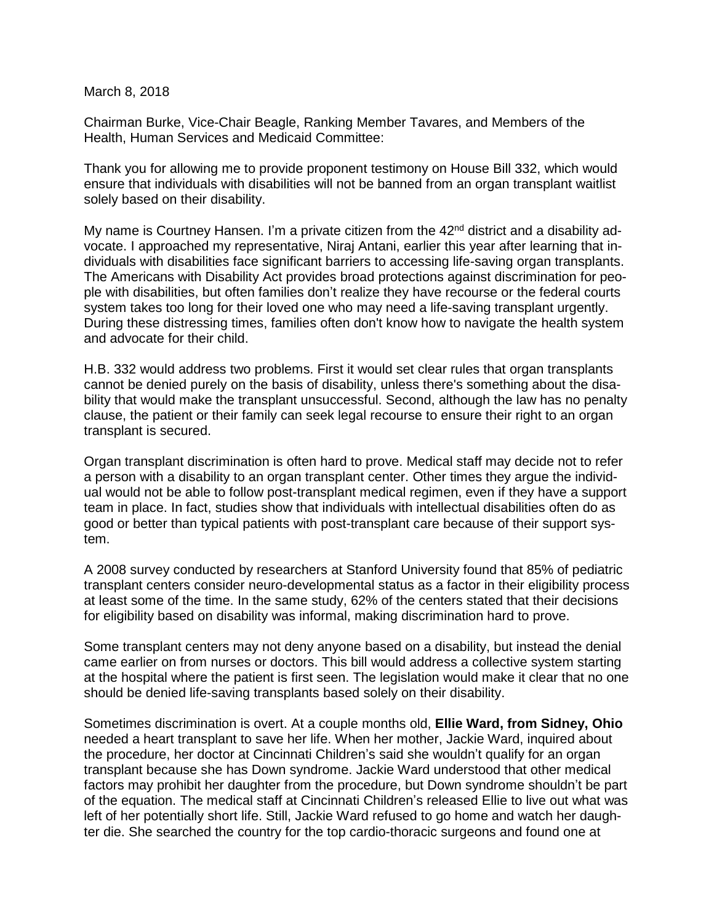## March 8, 2018

Chairman Burke, Vice-Chair Beagle, Ranking Member Tavares, and Members of the Health, Human Services and Medicaid Committee:

Thank you for allowing me to provide proponent testimony on House Bill 332, which would ensure that individuals with disabilities will not be banned from an organ transplant waitlist solely based on their disability.

My name is Courtney Hansen. I'm a private citizen from the 42<sup>nd</sup> district and a disability advocate. I approached my representative, Niraj Antani, earlier this year after learning that individuals with disabilities face significant barriers to accessing life-saving organ transplants. The Americans with Disability Act provides broad protections against discrimination for people with disabilities, but often families don't realize they have recourse or the federal courts system takes too long for their loved one who may need a life-saving transplant urgently. During these distressing times, families often don't know how to navigate the health system and advocate for their child.

H.B. 332 would address two problems. First it would set clear rules that organ transplants cannot be denied purely on the basis of disability, unless there's something about the disability that would make the transplant unsuccessful. Second, although the law has no penalty clause, the patient or their family can seek legal recourse to ensure their right to an organ transplant is secured.

Organ transplant discrimination is often hard to prove. Medical staff may decide not to refer a person with a disability to an organ transplant center. Other times they argue the individual would not be able to follow post-transplant medical regimen, even if they have a support team in place. In fact, studies show that individuals with intellectual disabilities often do as good or better than typical patients with post-transplant care because of their support system.

A 2008 survey conducted by researchers at Stanford University found that 85% of pediatric transplant centers consider neuro-developmental status as a factor in their eligibility process at least some of the time. In the same study, 62% of the centers stated that their decisions for eligibility based on disability was informal, making discrimination hard to prove.

Some transplant centers may not deny anyone based on a disability, but instead the denial came earlier on from nurses or doctors. This bill would address a collective system starting at the hospital where the patient is first seen. The legislation would make it clear that no one should be denied life-saving transplants based solely on their disability.

Sometimes discrimination is overt. At a couple months old, **Ellie Ward, from Sidney, Ohio** needed a heart transplant to save her life. When her mother, Jackie Ward, inquired about the procedure, her doctor at Cincinnati Children's said she wouldn't qualify for an organ transplant because she has Down syndrome. Jackie Ward understood that other medical factors may prohibit her daughter from the procedure, but Down syndrome shouldn't be part of the equation. The medical staff at Cincinnati Children's released Ellie to live out what was left of her potentially short life. Still, Jackie Ward refused to go home and watch her daughter die. She searched the country for the top cardio-thoracic surgeons and found one at